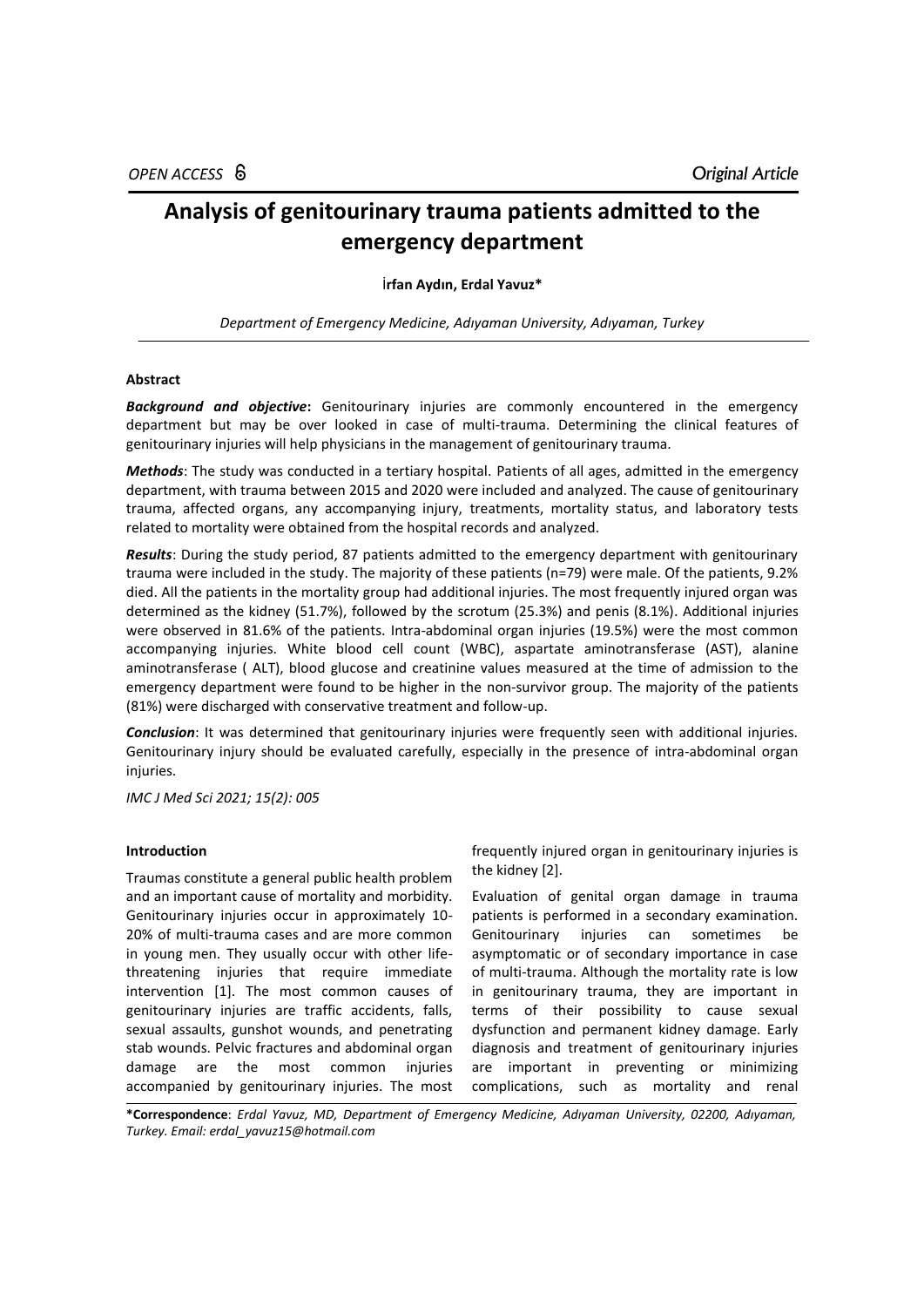# **Analysis of genitourinary trauma patients admitted to the emergency department**

## İ**rfan Aydın, Erdal Yavuz\***

*Department of Emergency Medicine, Adıyaman University, Adıyaman, Turkey*

# **Abstract**

**Background and objective:** Genitourinary injuries are commonly encountered in the emergency department but may be over looked in case of multi-trauma. Determining the clinical features of genitourinary injuries will help physicians in the management of genitourinary trauma.

*Methods*: The study was conducted in a tertiary hospital. Patients of all ages, admitted in the emergency department, with trauma between 2015 and 2020 were included and analyzed. The cause of genitourinary trauma, affected organs, any accompanying injury, treatments, mortality status, and laboratory tests related to mortality were obtained from the hospital records and analyzed.

*Results*: During the study period, 87 patients admitted to the emergency department with genitourinary trauma were included in the study. The majority of these patients (n=79) were male. Of the patients, 9.2% died. All the patients in the mortality group had additional injuries. The most frequently injured organ was determined as the kidney (51.7%), followed by the scrotum (25.3%) and penis (8.1%). Additional injuries were observed in 81.6% of the patients. Intra-abdominal organ injuries (19.5%) were the most common accompanying injuries. White blood cell count (WBC), aspartate aminotransferase (AST), alanine aminotransferase ( ALT), blood glucose and creatinine values measured at the time of admission to the emergency department were found to be higher in the non-survivor group. The majority of the patients (81%) were discharged with conservative treatment and follow-up.

*Conclusion*: It was determined that genitourinary injuries were frequently seen with additional injuries. Genitourinary injury should be evaluated carefully, especially in the presence of intra-abdominal organ injuries.

*IMC J Med Sci 2021; 15(2): 005*

## **Introduction**

Traumas constitute a general public health problem and an important cause of mortality and morbidity. Genitourinary injuries occur in approximately 10- 20% of multi-trauma cases and are more common in young men. They usually occur with other lifethreatening injuries that require immediate intervention [1]. The most common causes of genitourinary injuries are traffic accidents, falls, sexual assaults, gunshot wounds, and penetrating stab wounds. Pelvic fractures and abdominal organ damage are the most common injuries accompanied by genitourinary injuries. The most

frequently injured organ in genitourinary injuries is the kidney [2].

Evaluation of genital organ damage in trauma patients is performed in a secondary examination. Genitourinary injuries can sometimes be asymptomatic or of secondary importance in case of multi-trauma. Although the mortality rate is low in genitourinary trauma, they are important in terms of their possibility to cause sexual dysfunction and permanent kidney damage. Early diagnosis and treatment of genitourinary injuries are important in preventing or minimizing complications, such as mortality and renal

**\*Correspondence**: *Erdal Yavuz, MD, Department of Emergency Medicine, Adıyaman University, 02200, Adıyaman, Turkey. Email: [erdal\\_yavuz15@hotmail.com](mailto:erdal_yavuz15@hotmail.com)*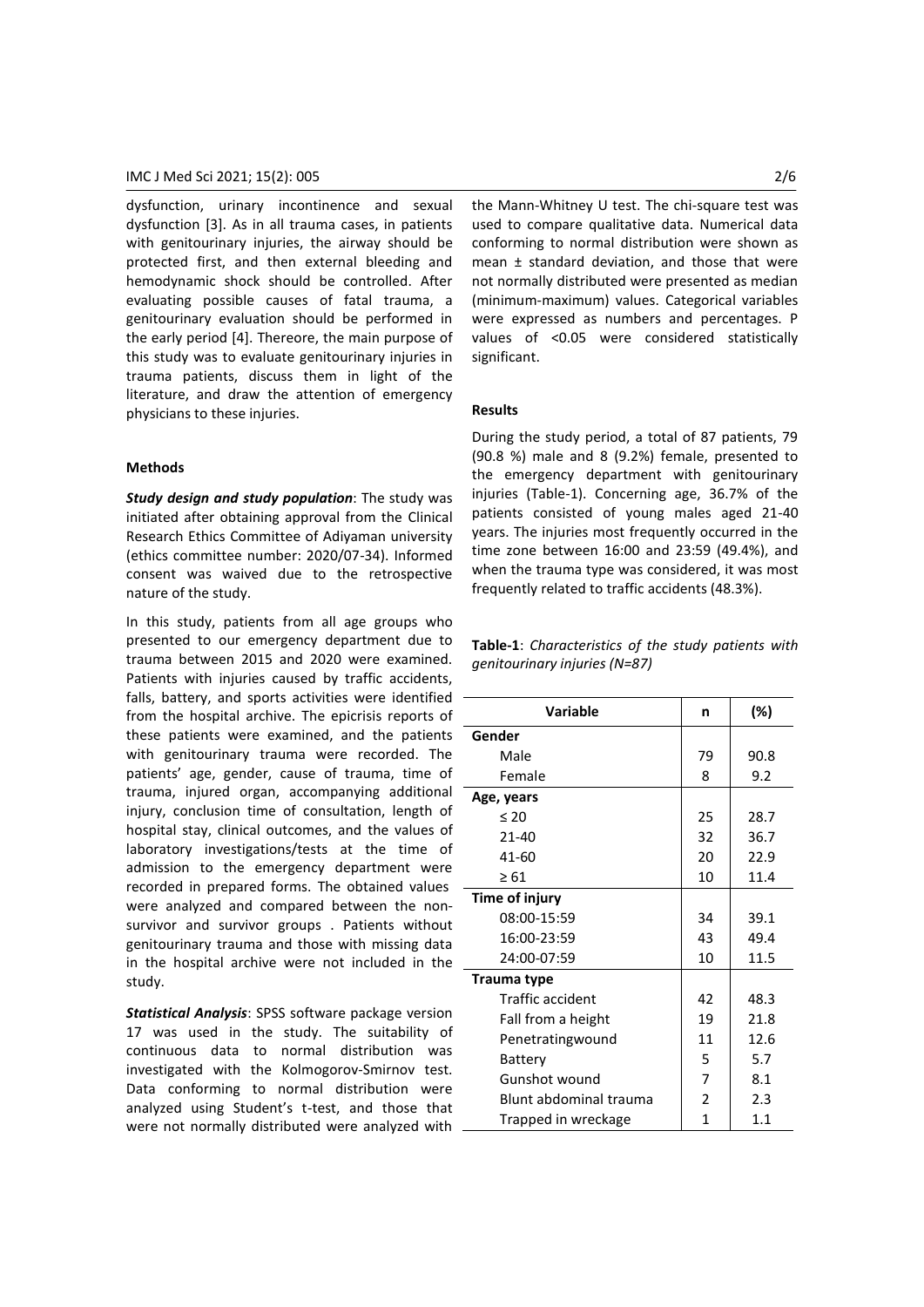dysfunction, urinary incontinence and sexual dysfunction [3]. As in all trauma cases, in patients with genitourinary injuries, the airway should be protected first, and then external bleeding and hemodynamic shock should be controlled. After evaluating possible causes of fatal trauma, a genitourinary evaluation should be performed in the early period [4]. Thereore, the main purpose of this study was to evaluate genitourinary injuries in trauma patients, discuss them in light of the literature, and draw the attention of emergency physicians to these injuries.

# **Methods**

*Study design and study population*: The study was initiated after obtaining approval from the Clinical Research Ethics Committee of Adiyaman university (ethics committee number: 2020/07-34). Informed consent was waived due to the retrospective nature of the study.

In this study, patients from all age groups who presented to our emergency department due to trauma between 2015 and 2020 were examined. Patients with injuries caused by traffic accidents, falls, battery, and sports activities were identified from the hospital archive. The epicrisis reports of these patients were examined, and the patients with genitourinary trauma were recorded. The patients' age, gender, cause of trauma, time of trauma, injured organ, accompanying additional injury, conclusion time of consultation, length of hospital stay, clinical outcomes, and the values of laboratory investigations/tests at the time of admission to the emergency department were recorded in prepared forms. The obtained values were analyzed and compared between the nonsurvivor and survivor groups . Patients without genitourinary trauma and those with missing data in the hospital archive were not included in the study.

*Statistical Analysis*: SPSS software package version 17 was used in the study. The suitability of continuous data to normal distribution was investigated with the Kolmogorov-Smirnov test. Data conforming to normal distribution were analyzed using Student's t-test, and those that were not normally distributed were analyzed with

the Mann-Whitney U test. The chi-square test was used to compare qualitative data. Numerical data conforming to normal distribution were shown as mean ± standard deviation, and those that were not normally distributed were presented as median (minimum-maximum) values. Categorical variables were expressed as numbers and percentages. P values of <0.05 were considered statistically significant.

#### **Results**

During the study period, a total of 87 patients, 79 (90.8 %) male and 8 (9.2%) female, presented to the emergency department with genitourinary injuries (Table-1). Concerning age, 36.7% of the patients consisted of young males aged 21-40 years. The injuries most frequently occurred in the time zone between 16:00 and 23:59 (49.4%), and when the trauma type was considered, it was most frequently related to traffic accidents (48.3%).

**Table-1**: *Characteristics of the study patients with genitourinary injuries (N=87)*

| <b>Variable</b>         | n                        | (%)  |
|-------------------------|--------------------------|------|
| Gender                  |                          |      |
| Male                    | 79                       | 90.8 |
| Female                  | 8                        | 9.2  |
| Age, years              |                          |      |
| < 20                    | 25                       | 28.7 |
| $21 - 40$               | 32                       | 36.7 |
| 41-60                   | 20                       | 22.9 |
| $\geq 61$               | 10                       | 11.4 |
| Time of injury          |                          |      |
| 08:00-15:59             | 34                       | 39.1 |
| 16:00-23:59             | 43                       | 49.4 |
| 24:00-07:59             | 10                       | 11.5 |
| Trauma type             |                          |      |
| <b>Traffic accident</b> | 42                       | 48.3 |
| Fall from a height      | 19                       | 21.8 |
| Penetratingwound        | 11                       | 12.6 |
| Battery                 | 5                        | 5.7  |
| Gunshot wound           | 7                        | 8.1  |
| Blunt abdominal trauma  | $\overline{\mathcal{L}}$ | 2.3  |
| Trapped in wreckage     | 1                        | 1.1  |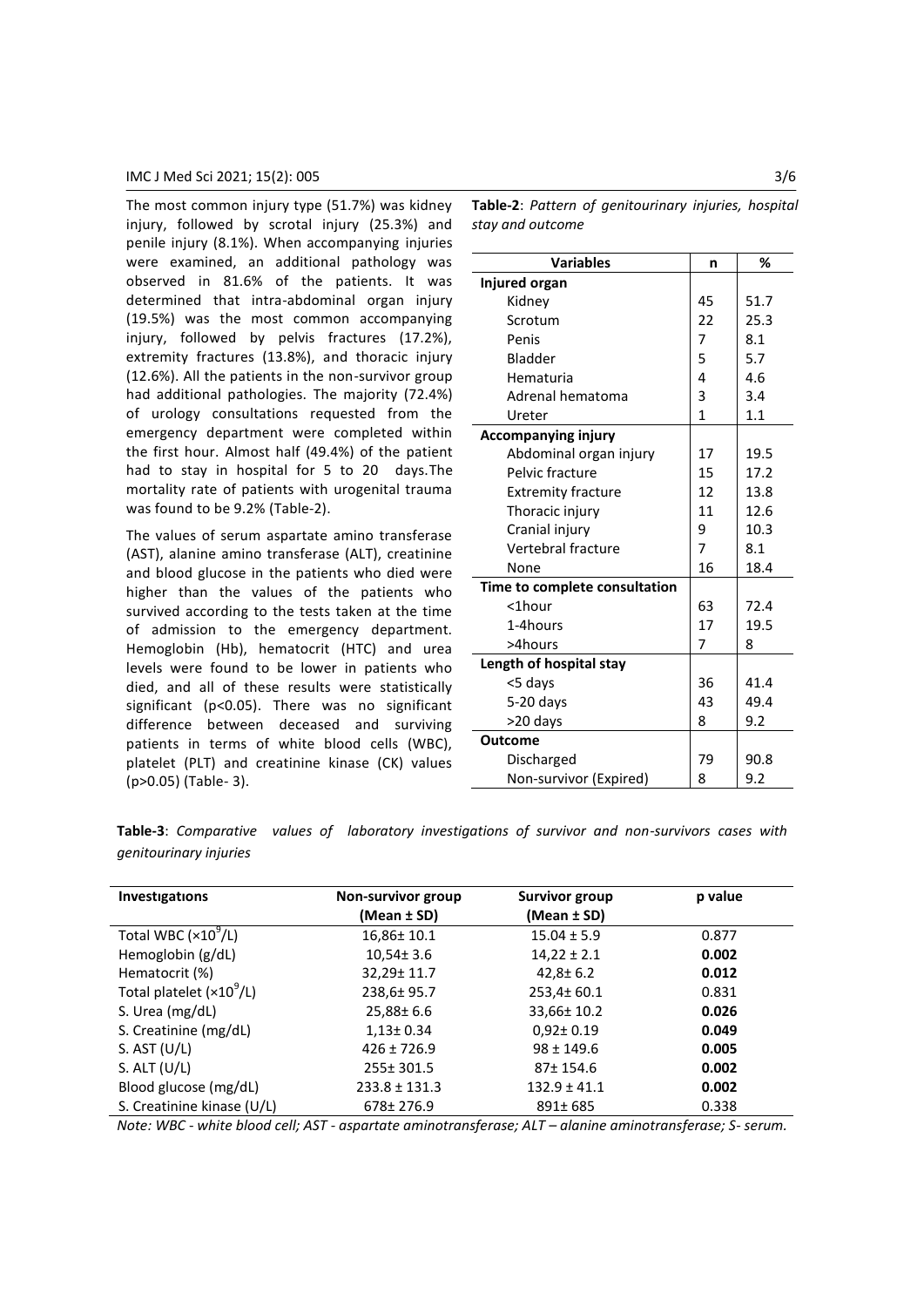## IMC J Med Sci 2021; 15(2): 005 3/6

The most common injury type (51.7%) was kidney injury, followed by scrotal injury (25.3%) and penile injury (8.1%). When accompanying injuries were examined, an additional pathology was observed in 81.6% of the patients. It was determined that intra-abdominal organ injury (19.5%) was the most common accompanying injury, followed by pelvis fractures (17.2%), extremity fractures (13.8%), and thoracic injury (12.6%). All the patients in the non-survivor group had additional pathologies. The majority (72.4%) of urology consultations requested from the emergency department were completed within the first hour. Almost half (49.4%) of the patient had to stay in hospital for 5 to 20 days.The mortality rate of patients with urogenital trauma was found to be 9.2% (Table-2).

The values of serum aspartate amino transferase (AST), alanine amino transferase (ALT), creatinine and blood glucose in the patients who died were higher than the values of the patients who survived according to the tests taken at the time of admission to the emergency department. Hemoglobin (Hb), hematocrit (HTC) and urea levels were found to be lower in patients who died, and all of these results were statistically significant (p<0.05). There was no significant difference between deceased and surviving patients in terms of white blood cells (WBC), platelet (PLT) and creatinine kinase (CK) values (p>0.05) (Table- 3).

**Table-2**: *Pattern of genitourinary injuries, hospital stay and outcome*

| <b>Variables</b>              | n  | %    |
|-------------------------------|----|------|
| Injured organ                 |    |      |
| Kidney                        | 45 | 51.7 |
| Scrotum                       | 22 | 25.3 |
| Penis                         | 7  | 8.1  |
| Bladder                       | 5  | 5.7  |
| Hematuria                     | 4  | 4.6  |
| Adrenal hematoma              | 3  | 3.4  |
| Ureter                        | 1  | 1.1  |
| <b>Accompanying injury</b>    |    |      |
| Abdominal organ injury        | 17 | 19.5 |
| Pelvic fracture               | 15 | 17.2 |
| <b>Extremity fracture</b>     | 12 | 13.8 |
| Thoracic injury               | 11 | 12.6 |
| Cranial injury                | 9  | 10.3 |
| Vertebral fracture            | 7  | 8.1  |
| None                          | 16 | 18.4 |
| Time to complete consultation |    |      |
| <1hour                        | 63 | 72.4 |
| 1-4hours                      | 17 | 19.5 |
| >4hours                       | 7  | 8    |
| Length of hospital stay       |    |      |
| <5 days                       | 36 | 41.4 |
| $5-20$ days                   | 43 | 49.4 |
| >20 days                      | 8  | 9.2  |
| <b>Outcome</b>                |    |      |
| Discharged                    | 79 | 90.8 |
| Non-survivor (Expired)        | 8  | 9.2  |

**Table-3**: *Comparative values of laboratory investigations of survivor and non-survivors cases with genitourinary injuries*

| Investigations             | Non-survivor group<br>(Mean ± SD) | Survivor group<br>(Mean ± SD) | p value |
|----------------------------|-----------------------------------|-------------------------------|---------|
| Total WBC $(x10^9/L)$      | $16,86 \pm 10.1$                  | $15.04 \pm 5.9$               | 0.877   |
| Hemoglobin (g/dL)          | $10,54 \pm 3.6$                   | $14,22 \pm 2.1$               | 0.002   |
| Hematocrit (%)             | 32,29± 11.7                       | $42,8 \pm 6.2$                | 0.012   |
| Total platelet $(x109/L)$  | 238,6±95.7                        | 253,4±60.1                    | 0.831   |
| S. Urea (mg/dL)            | $25,88 \pm 6.6$                   | 33,66± 10.2                   | 0.026   |
| S. Creatinine (mg/dL)      | $1,13 \pm 0.34$                   | $0.92 \pm 0.19$               | 0.049   |
| S. AST $(U/L)$             | $426 \pm 726.9$                   | $98 \pm 149.6$                | 0.005   |
| S. ALT $(U/L)$             | 255± 301.5                        | 87±154.6                      | 0.002   |
| Blood glucose (mg/dL)      | $233.8 \pm 131.3$                 | $132.9 \pm 41.1$              | 0.002   |
| S. Creatinine kinase (U/L) | 678± 276.9                        | $891 \pm 685$                 | 0.338   |

*Note: WBC - white blood cell; AST - aspartate aminotransferase; ALT – alanine aminotransferase; S- serum.*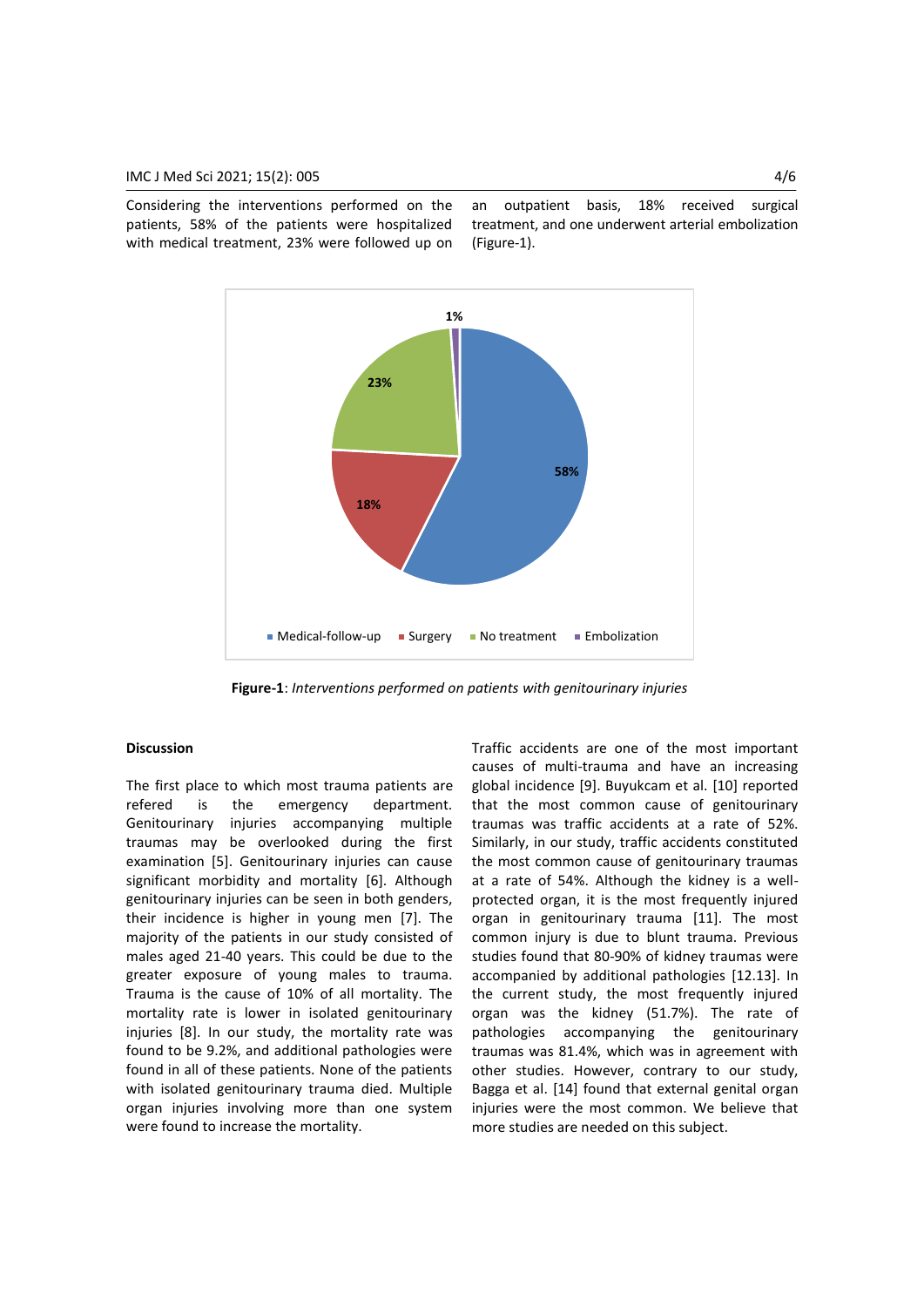Considering the interventions performed on the patients, 58% of the patients were hospitalized with medical treatment, 23% were followed up on an outpatient basis, 18% received surgical treatment, and one underwent arterial embolization (Figure-1).



**Figure-1**: *Interventions performed on patients with genitourinary injuries*

#### **Discussion**

The first place to which most trauma patients are refered is the emergency department. Genitourinary injuries accompanying multiple traumas may be overlooked during the first examination [5]. Genitourinary injuries can cause significant morbidity and mortality [6]. Although genitourinary injuries can be seen in both genders, their incidence is higher in young men [7]. The majority of the patients in our study consisted of males aged 21-40 years. This could be due to the greater exposure of young males to trauma. Trauma is the cause of 10% of all mortality. The mortality rate is lower in isolated genitourinary injuries [8]. In our study, the mortality rate was found to be 9.2%, and additional pathologies were found in all of these patients. None of the patients with isolated genitourinary trauma died. Multiple organ injuries involving more than one system were found to increase the mortality.

Traffic accidents are one of the most important causes of multi-trauma and have an increasing global incidence [9]. Buyukcam et al. [10] reported that the most common cause of genitourinary traumas was traffic accidents at a rate of 52%. Similarly, in our study, traffic accidents constituted the most common cause of genitourinary traumas at a rate of 54%. Although the kidney is a wellprotected organ, it is the most frequently injured organ in genitourinary trauma [11]. The most common injury is due to blunt trauma. Previous studies found that 80-90% of kidney traumas were accompanied by additional pathologies [12.13]. In the current study, the most frequently injured organ was the kidney (51.7%). The rate of pathologies accompanying the genitourinary traumas was 81.4%, which was in agreement with other studies. However, contrary to our study, Bagga et al. [14] found that external genital organ injuries were the most common. We believe that more studies are needed on this subject.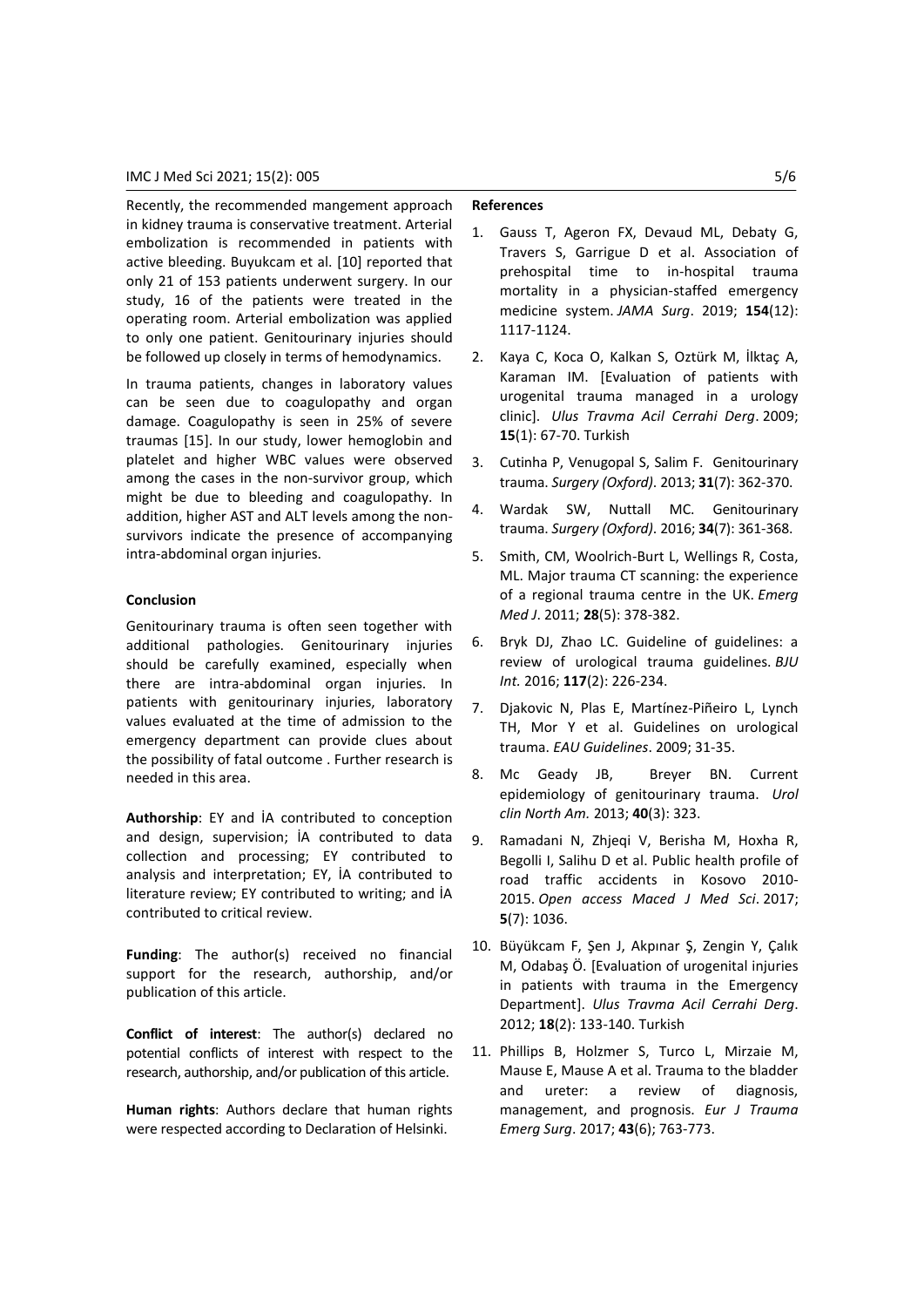Recently, the recommended mangement approach in kidney trauma is conservative treatment. Arterial embolization is recommended in patients with active bleeding. Buyukcam et al. [10] reported that only 21 of 153 patients underwent surgery. In our study, 16 of the patients were treated in the operating room. Arterial embolization was applied to only one patient. Genitourinary injuries should be followed up closely in terms of hemodynamics.

In trauma patients, changes in laboratory values can be seen due to coagulopathy and organ damage. Coagulopathy is seen in 25% of severe traumas [15]. In our study, lower hemoglobin and platelet and higher WBC values were observed among the cases in the non-survivor group, which might be due to bleeding and coagulopathy. In addition, higher AST and ALT levels among the nonsurvivors indicate the presence of accompanying intra-abdominal organ injuries.

#### **Conclusion**

Genitourinary trauma is often seen together with additional pathologies. Genitourinary injuries should be carefully examined, especially when there are intra-abdominal organ injuries. In patients with genitourinary injuries, laboratory values evaluated at the time of admission to the emergency department can provide clues about the possibility of fatal outcome . Further research is needed in this area.

**Authorship**: EY and İA contributed to conception and design, supervision; İA contributed to data collection and processing; EY contributed to analysis and interpretation; EY, İA contributed to literature review; EY contributed to writing; and İA contributed to critical review.

**Funding**: The author(s) received no financial support for the research, authorship, and/or publication of this article.

**Conflict of interest**: The author(s) declared no potential conflicts of interest with respect to the research, authorship, and/or publication of this article.

**Human rights**: Authors declare that human rights were respected according to Declaration of Helsinki.

## **References**

- 1. Gauss T, Ageron FX, Devaud ML, Debaty G, Travers S, Garrigue D et al. Association of prehospital time to in-hospital trauma mortality in a physician-staffed emergency medicine system. *JAMA Surg*. 2019; **154**(12): 1117-1124.
- 2. Kaya C, Koca O, Kalkan S, Oztürk M, İlktaç A, Karaman IM. [Evaluation of patients with urogenital trauma managed in a urology clinic]. *Ulus Travma Acil Cerrahi Derg*. 2009; **15**(1): 67-70. Turkish
- 3. Cutinha P, Venugopal S, Salim F. Genitourinary trauma. *Surgery (Oxford)*. 2013; **31**(7): 362-370.
- 4. Wardak SW, Nuttall MC. Genitourinary trauma. *Surgery (Oxford)*. 2016; **34**(7): 361-368.
- 5. Smith, CM, Woolrich-Burt L, Wellings R, Costa, ML. Major trauma CT scanning: the experience of a regional trauma centre in the UK. *Emerg Med J*. 2011; **28**(5): 378-382.
- 6. Bryk DJ, Zhao LC. Guideline of guidelines: a review of urological trauma guidelines. *BJU Int.* 2016; **117**(2): 226-234.
- 7. Djakovic N, Plas E, Martínez-Piñeiro L, Lynch TH, Mor Y et al. Guidelines on urological trauma. *EAU Guidelines*. 2009; 31-35.
- 8. Mc Geady JB, Breyer BN. Current epidemiology of genitourinary trauma. *Urol clin North Am.* 2013; **40**(3): 323.
- 9. Ramadani N, Zhjeqi V, Berisha M, Hoxha R, Begolli I, Salihu D et al. Public health profile of road traffic accidents in Kosovo 2010- 2015. *Open access Maced J Med Sci*. 2017; **5**(7): 1036.
- 10. Büyükcam F, Şen J, Akpınar Ş, Zengin Y, Çalık M, Odabaş Ö. [Evaluation of urogenital injuries in patients with trauma in the Emergency Department]. *Ulus Travma Acil Cerrahi Derg*. 2012; **18**(2): 133-140. Turkish
- 11. Phillips B, Holzmer S, Turco L, Mirzaie M, Mause E, Mause A et al. Trauma to the bladder and ureter: a review of diagnosis, management, and prognosis. *Eur J Trauma Emerg Surg*. 2017; **43**(6); 763-773.